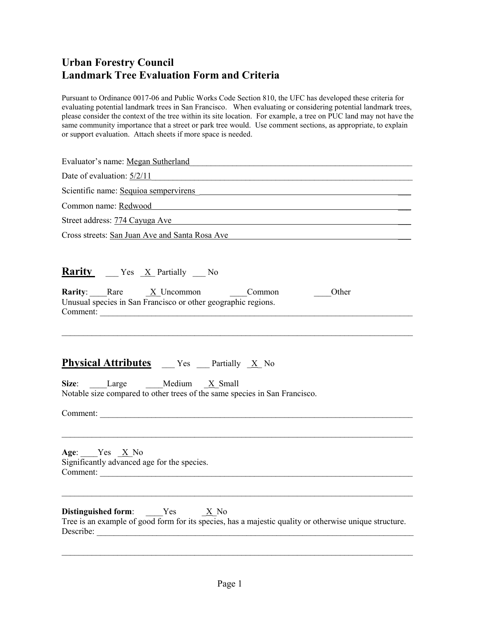Pursuant to Ordinance 0017-06 and Public Works Code Section 810, the UFC has developed these criteria for evaluating potential landmark trees in San Francisco. When evaluating or considering potential landmark trees, please consider the context of the tree within its site location. For example, a tree on PUC land may not have the same community importance that a street or park tree would. Use comment sections, as appropriate, to explain or support evaluation. Attach sheets if more space is needed.

| Evaluator's name: Megan Sutherland                                                                                                                                                                                                                                                                       |  |  |  |  |                                                |
|----------------------------------------------------------------------------------------------------------------------------------------------------------------------------------------------------------------------------------------------------------------------------------------------------------|--|--|--|--|------------------------------------------------|
| Date of evaluation: $\frac{5/2/11}{2}$                                                                                                                                                                                                                                                                   |  |  |  |  |                                                |
| Scientific name: Sequioa sempervirens<br>Common name: Redwood and a state of the state of the state of the state of the state of the state of the state of the state of the state of the state of the state of the state of the state of the state of the state of the<br>Street address: 774 Cayuga Ave |  |  |  |  |                                                |
|                                                                                                                                                                                                                                                                                                          |  |  |  |  | Cross streets: San Juan Ave and Santa Rosa Ave |
|                                                                                                                                                                                                                                                                                                          |  |  |  |  | <b>Rarity</b> ___ Yes _X_ Partially ___ No     |
| <b>Rarity</b> : Rare $\underline{X}$ Uncommon $\underline{Common}$<br>Other<br>Unusual species in San Francisco or other geographic regions.<br>Comment:                                                                                                                                                 |  |  |  |  |                                                |
| <b>Physical Attributes</b> ___ Yes ___ Partially _X_ No<br>Size: Large Medium X Small<br>Notable size compared to other trees of the same species in San Francisco.<br>Comment:                                                                                                                          |  |  |  |  |                                                |
| Age: Yes <u>X</u> No<br>Significantly advanced age for the species.                                                                                                                                                                                                                                      |  |  |  |  |                                                |
| <b>Distinguished form:</b> Yes $X \to N_0$<br>Tree is an example of good form for its species, has a majestic quality or otherwise unique structure.<br>Describe:                                                                                                                                        |  |  |  |  |                                                |

\_\_\_\_\_\_\_\_\_\_\_\_\_\_\_\_\_\_\_\_\_\_\_\_\_\_\_\_\_\_\_\_\_\_\_\_\_\_\_\_\_\_\_\_\_\_\_\_\_\_\_\_\_\_\_\_\_\_\_\_\_\_\_\_\_\_\_\_\_\_\_\_\_\_\_\_\_\_\_\_\_\_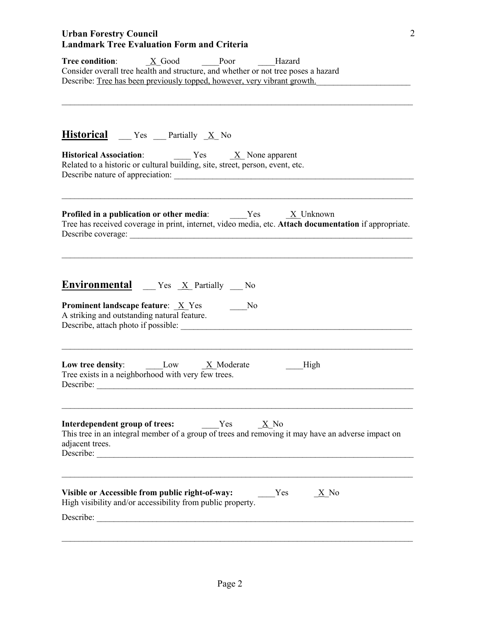| Tree condition: | X Good                                                                   | Poor | Hazard                                                                             |  |
|-----------------|--------------------------------------------------------------------------|------|------------------------------------------------------------------------------------|--|
|                 |                                                                          |      | Consider overall tree health and structure, and whether or not tree poses a hazard |  |
|                 | Describe: Tree has been previously topped, however, very vibrant growth. |      |                                                                                    |  |

\_\_\_\_\_\_\_\_\_\_\_\_\_\_\_\_\_\_\_\_\_\_\_\_\_\_\_\_\_\_\_\_\_\_\_\_\_\_\_\_\_\_\_\_\_\_\_\_\_\_\_\_\_\_\_\_\_\_\_\_\_\_\_\_\_\_\_\_\_\_\_\_\_\_\_\_\_\_\_\_\_\_

2

| <b>Historical</b> __ Yes __ Partially _X_ No                                                                                                                                                                                                                                                                       |  |  |  |  |
|--------------------------------------------------------------------------------------------------------------------------------------------------------------------------------------------------------------------------------------------------------------------------------------------------------------------|--|--|--|--|
| <b>Historical Association:</b> Yes $X$ None apparent<br>Related to a historic or cultural building, site, street, person, event, etc.<br><b>Profiled in a publication or other media:</b> Yes $X$ Unknown<br>Tree has received coverage in print, internet, video media, etc. Attach documentation if appropriate. |  |  |  |  |
|                                                                                                                                                                                                                                                                                                                    |  |  |  |  |
| Low tree density: $\qquad \qquad \text{Low} \qquad \qquad \frac{X}{X}$ Moderate<br>High<br>Tree exists in a neighborhood with very few trees.                                                                                                                                                                      |  |  |  |  |
| <b>Interdependent group of trees:</b> $Yes$ $X No$<br>This tree in an integral member of a group of trees and removing it may have an adverse impact on<br>adjacent trees.<br>Describe:                                                                                                                            |  |  |  |  |
| Visible or Accessible from public right-of-way:<br>Yes<br><b>X</b> No<br>High visibility and/or accessibility from public property.<br>Describe:                                                                                                                                                                   |  |  |  |  |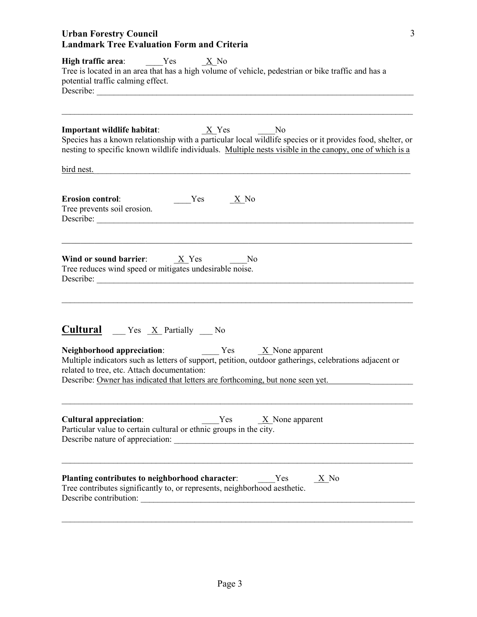| High traffic area: $Yes$ $X$ No<br>Tree is located in an area that has a high volume of vehicle, pedestrian or bike traffic and has a<br>potential traffic calming effect.                                                                                                                                     |  |  |  |
|----------------------------------------------------------------------------------------------------------------------------------------------------------------------------------------------------------------------------------------------------------------------------------------------------------------|--|--|--|
| N <sub>0</sub><br>Species has a known relationship with a particular local wildlife species or it provides food, shelter, or<br>nesting to specific known wildlife individuals. Multiple nests visible in the canopy, one of which is a                                                                        |  |  |  |
| bird nest.                                                                                                                                                                                                                                                                                                     |  |  |  |
| <b>Erosion control:</b><br>$Yes$ $X$ No<br>Tree prevents soil erosion.<br>Describe:                                                                                                                                                                                                                            |  |  |  |
| Wind or sound barrier: $\underline{X}$ Yes No<br>Tree reduces wind speed or mitigates undesirable noise.<br>Describe:                                                                                                                                                                                          |  |  |  |
| <b>Cultural</b> Yes $\underline{X}$ Partially No                                                                                                                                                                                                                                                               |  |  |  |
| <b>Neighborhood appreciation:</b> Yes $\underline{X}$ None apparent<br>Multiple indicators such as letters of support, petition, outdoor gatherings, celebrations adjacent or<br>related to tree, etc. Attach documentation:<br>Describe: Owner has indicated that letters are forthcoming, but none seen yet. |  |  |  |
| $Yes$ $X$ None apparent<br><b>Cultural appreciation:</b><br>Particular value to certain cultural or ethnic groups in the city.                                                                                                                                                                                 |  |  |  |
| <b>Planting contributes to neighborhood character:</b> $Yes$ $X \to No$<br>Tree contributes significantly to, or represents, neighborhood aesthetic.<br>Describe contribution:                                                                                                                                 |  |  |  |